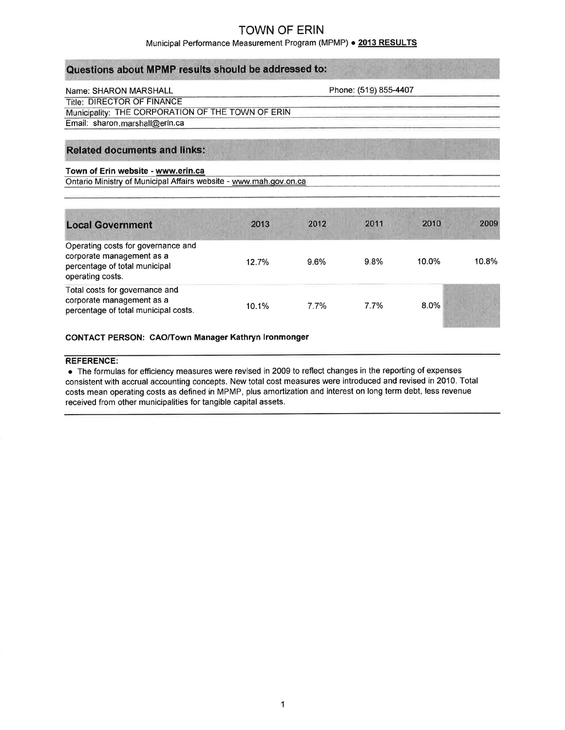### Municipal Performance Measurement Program (MPMP) · 2013 RESULTS

| Questions about MPMP results should be addressed to: |  |  |
|------------------------------------------------------|--|--|
|------------------------------------------------------|--|--|

### Name: SHARON MARSHALL

Phone: (519) 855-4407

**Title: DIRECTOR OF FINANCE** Municipality: THE CORPORATION OF THE TOWN OF ERIN Email: sharon.marshall@erin.ca

## **Related documents and links:**

#### Town of Erin website - www.erin.ca

Ontario Ministry of Municipal Affairs website - www.mah.gov.on.ca

| <b>Local Government</b>                                                                                              | 2013     | 2012 | 2011 | 2010    | 2009  |
|----------------------------------------------------------------------------------------------------------------------|----------|------|------|---------|-------|
| Operating costs for governance and<br>corporate management as a<br>percentage of total municipal<br>operating costs. | 12.7%    | 9.6% | 9.8% | 10.0%   | 10.8% |
| Total costs for governance and<br>corporate management as a<br>percentage of total municipal costs.                  | $10.1\%$ | 7.7% | 7.7% | $8.0\%$ |       |

#### CONTACT PERSON: CAO/Town Manager Kathryn lronmonger

#### REFERENCE:

o The formulas for efficiency measures were revised in 2009 to reflect changes in the reporting of expenses consistent with accrual accounting concepts. New total cost measures were introduced and revised in 2010. Total costs mean operating costs as defined in MPMP, plus amortization and interest on long term debt, less revenue received from other municipalities for tangible capital assets.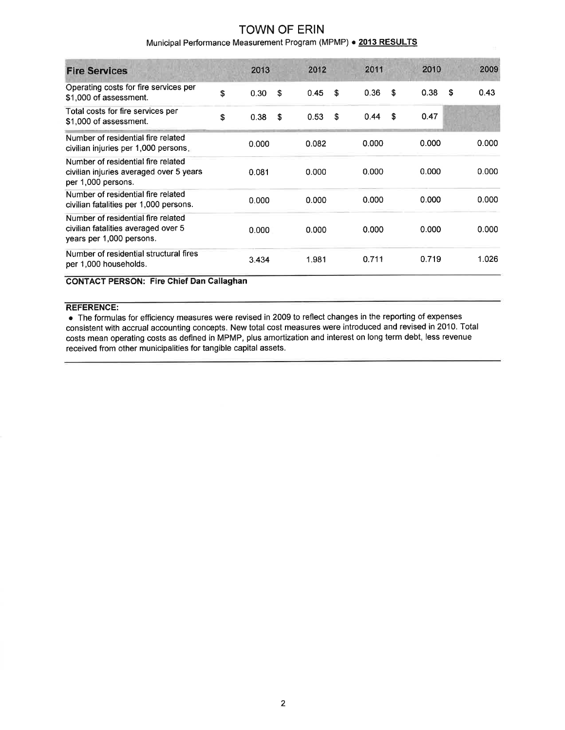## Municipal Performance Measurement Program (MPMP) . 2013 RESULTS

| <b>Fire Services</b>                                                                                  | 2013       | 2012       | 2011       | 2010       |   | 2009  |
|-------------------------------------------------------------------------------------------------------|------------|------------|------------|------------|---|-------|
| Operating costs for fire services per<br>\$1,000 of assessment.                                       | \$<br>0.30 | \$<br>0.45 | \$<br>0.36 | \$<br>0.38 | S | 0.43  |
| Total costs for fire services per<br>\$1,000 of assessment.                                           | \$<br>0.38 | \$<br>0.53 | \$<br>0.44 | \$<br>0.47 |   |       |
| Number of residential fire related<br>civilian injuries per 1,000 persons.                            | 0.000      | 0.082      | 0.000      | 0.000      |   | 0.000 |
| Number of residential fire related<br>civilian injuries averaged over 5 years<br>per 1,000 persons.   | 0.081      | 0.000      | 0.000      | 0.000      |   | 0.000 |
| Number of residential fire related<br>civilian fatalities per 1,000 persons.                          | 0.000      | 0.000      | 0.000      | 0.000      |   | 0.000 |
| Number of residential fire related<br>civilian fatalities averaged over 5<br>years per 1,000 persons. | 0.000      | 0.000      | 0.000      | 0.000      |   | 0.000 |
| Number of residential structural fires<br>per 1,000 households.                                       | 3.434      | 1.981      | 0.711      | 0.719      |   | 1.026 |

CONTACT PERSON: Fire Chief Dan Gallaghan

#### REFERENCE:

o The formulas for efficiency measures were revised in 2009 to reflect changes in the reporting of expenses consistent with accrual accounting concepts. New total cost measures were introduced and revised in 2010. Total costs mean operating costs as defined in MPMP, plus amortization and interest on long term debt, less revenue received from other municipalities for tangible capital assets.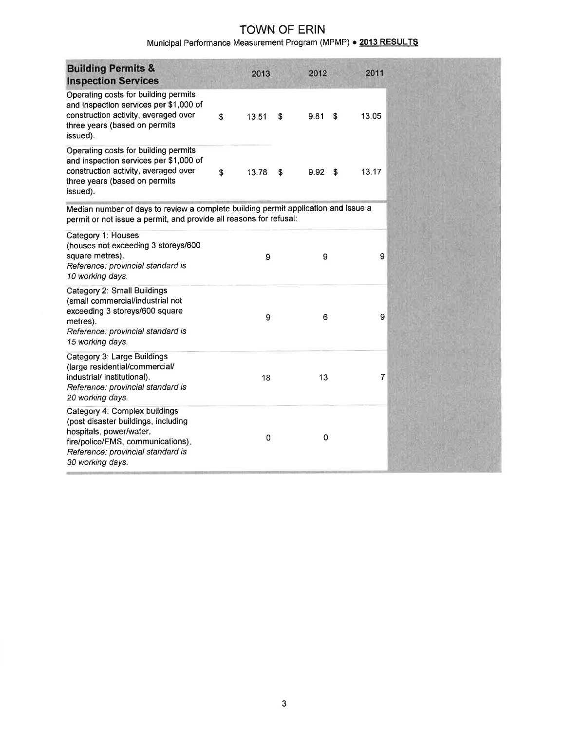# Municipal Performance Measurement Program (MPMP) . 2013 RESULTS

| <b>Building Permits &amp;</b><br><b>Inspection Services</b>                                                                                                                                   | 2013        | 2012        |      | 2011  |
|-----------------------------------------------------------------------------------------------------------------------------------------------------------------------------------------------|-------------|-------------|------|-------|
| Operating costs for building permits<br>and inspection services per \$1,000 of<br>construction activity, averaged over<br>three years (based on permits<br>issued).                           | \$<br>13.51 | \$<br>9.81  | \$   | 13.05 |
| Operating costs for building permits<br>and inspection services per \$1,000 of<br>construction activity, averaged over<br>three years (based on permits<br>issued).                           | \$<br>13.78 | \$<br>9.92  | - \$ | 13.17 |
| Median number of days to review a complete building permit application and issue a<br>permit or not issue a permit, and provide all reasons for refusal:                                      |             |             |      |       |
| Category 1: Houses<br>(houses not exceeding 3 storeys/600<br>square metres).<br>Reference: provincial standard is<br>10 working days.                                                         | 9           | 9           |      | 9     |
| Category 2: Small Buildings<br>(small commercial/industrial not<br>exceeding 3 storeys/600 square<br>metres).<br>Reference: provincial standard is<br>15 working days.                        | 9           | 6           |      | 9     |
| Category 3: Large Buildings<br>(large residential/commercial/<br>industrial/ institutional).<br>Reference: provincial standard is<br>20 working days.                                         | 18          | 13          |      | 7     |
| Category 4: Complex buildings<br>(post disaster buildings, including<br>hospitals, power/water,<br>fire/police/EMS, communications).<br>Reference: provincial standard is<br>30 working days. | 0           | $\mathbf 0$ |      |       |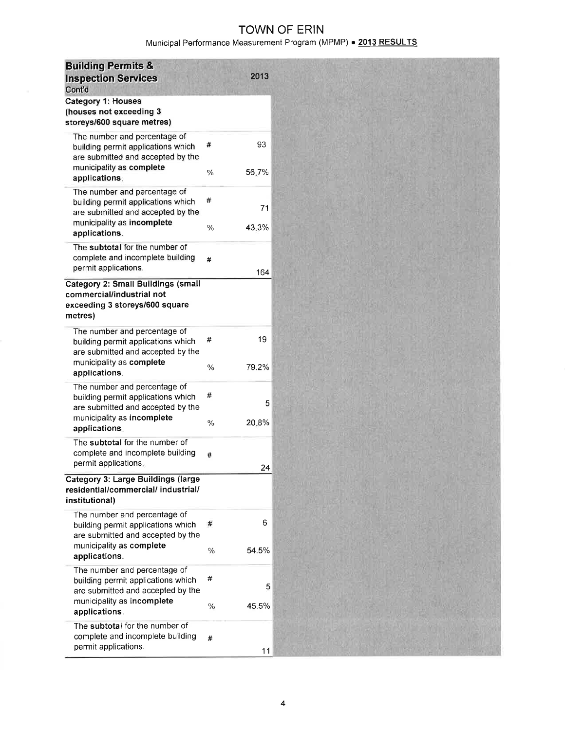# Municipal Performance Measurement Program (MPMP) · 2013 RESULTS

| <b>Building Permits &amp;</b><br><b>Inspection Services</b><br>Cont'd                                                                 | 2013                     |
|---------------------------------------------------------------------------------------------------------------------------------------|--------------------------|
| <b>Category 1: Houses</b><br>(houses not exceeding 3<br>storeys/600 square metres)                                                    |                          |
| The number and percentage of<br>building permit applications which<br>are submitted and accepted by the<br>municipality as complete   | 93<br>#                  |
| applications.                                                                                                                         | $\frac{0}{0}$<br>56.7%   |
| The number and percentage of<br>building permit applications which<br>are submitted and accepted by the<br>municipality as incomplete | #<br>71                  |
| applications.                                                                                                                         | 43.3%<br>$\%$            |
| The subtotal for the number of<br>complete and incomplete building<br>permit applications.                                            | #<br>164                 |
| Category 2: Small Buildings (small<br>commercial/industrial not<br>exceeding 3 storeys/600 square<br>metres)                          |                          |
| The number and percentage of<br>building permit applications which<br>are submitted and accepted by the<br>municipality as complete   | 19<br>#<br>79.2%<br>$\%$ |
| applications.<br>The number and percentage of                                                                                         |                          |
| building permit applications which<br>are submitted and accepted by the<br>municipality as incomplete                                 | #<br>5                   |
| applications.                                                                                                                         | 20.8%<br>$\%$            |
| The subtotal for the number of<br>complete and incomplete building<br>permit applications.                                            | #<br>24                  |
| <b>Category 3: Large Buildings (large</b><br>residential/commercial/ industrial/<br>institutional)                                    |                          |
| The number and percentage of<br>building permit applications which<br>are submitted and accepted by the                               | 6<br>#                   |
| municipality as complete<br>applications.                                                                                             | 54.5%<br>$\frac{0}{0}$   |
| The number and percentage of<br>building permit applications which<br>are submitted and accepted by the<br>municipality as incomplete | #                        |
| applications.                                                                                                                         | 45.5%<br>$\%$            |
| The subtotal for the number of<br>complete and incomplete building<br>permit applications.                                            | #<br>11                  |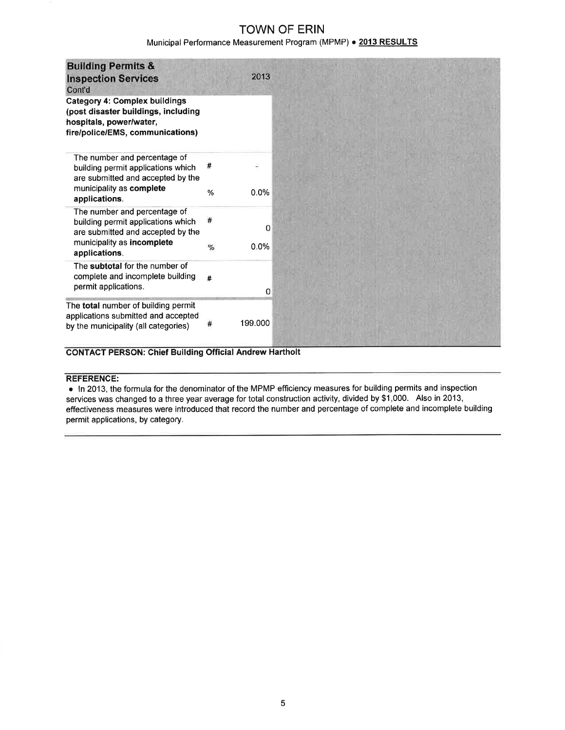## Municipal Performance Measurement Program (MPMP) · 2013 RESULTS

| <b>Building Permits &amp;</b><br><b>Inspection Services</b><br>Cont'd                                                                                  |        | 2013      |
|--------------------------------------------------------------------------------------------------------------------------------------------------------|--------|-----------|
| <b>Category 4: Complex buildings</b><br>(post disaster buildings, including<br>hospitals, power/water,<br>fire/police/EMS, communications)             |        |           |
| The number and percentage of<br>building permit applications which<br>are submitted and accepted by the<br>municipality as complete<br>applications.   | #<br>% | 0.0%      |
| The number and percentage of<br>building permit applications which<br>are submitted and accepted by the<br>municipality as incomplete<br>applications. | %      | 0<br>0.0% |
| The subtotal for the number of<br>complete and incomplete building<br>permit applications.                                                             | #      | 0         |
| The total number of building permit<br>applications submitted and accepted<br>by the municipality (all categories)                                     |        | 199.000   |

### CONTACT PERSON: Chief Building Official Andrew Hartholt

#### REFERENGE:

o ln 2013, the formula for the denominator of the MPMP efficiency measures for building permits and inspection services was changed to a three year average for total construction activity, divided by \$1 ,000. Also in 2013, effectiveness measures were introduced that record the number and percentage of complete and incomplete building permit applications, by category.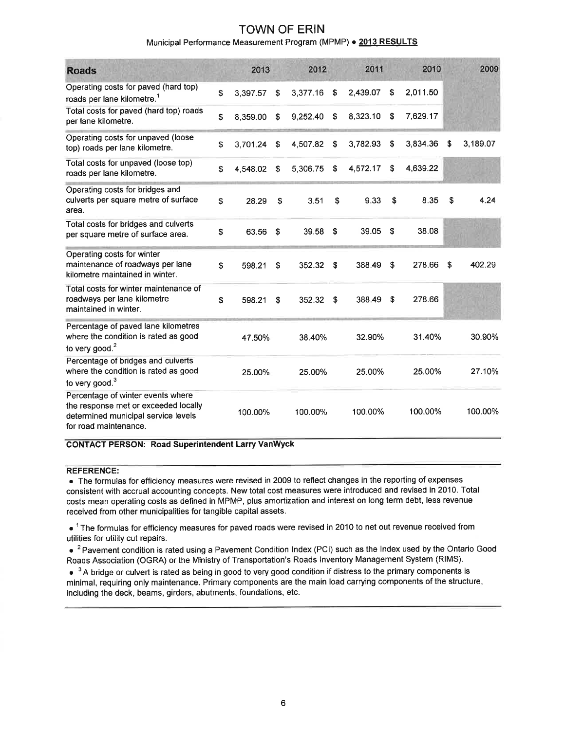## Municipal Performance Measurement Program (MPMP) . 2013 RESULTS

| <b>Roads</b>                                                                                                                              | 2013           |    | 2012     | 2011           |    | 2010     |    | 2009     |
|-------------------------------------------------------------------------------------------------------------------------------------------|----------------|----|----------|----------------|----|----------|----|----------|
| Operating costs for paved (hard top)<br>roads per lane kilometre. <sup>1</sup>                                                            | \$<br>3,397.57 | S. | 3,377.16 | \$<br>2.439.07 | \$ | 2.011.50 |    |          |
| Total costs for paved (hard top) roads<br>per lane kilometre.                                                                             | \$<br>8,359.00 | \$ | 9.252.40 | \$<br>8,323.10 | S  | 7.629.17 |    |          |
| Operating costs for unpaved (loose<br>top) roads per lane kilometre.                                                                      | \$<br>3,701.24 | \$ | 4,507.82 | \$<br>3,782.93 | \$ | 3.834.36 | \$ | 3,189.07 |
| Total costs for unpaved (loose top)<br>roads per lane kilometre.                                                                          | \$<br>4,548.02 | \$ | 5,306.75 | \$<br>4,572.17 | \$ | 4,639.22 |    |          |
| Operating costs for bridges and<br>culverts per square metre of surface<br>area.                                                          | \$<br>28.29    | \$ | 3.51     | \$<br>9.33     | \$ | 8.35     | S  | 4.24     |
| Total costs for bridges and culverts<br>per square metre of surface area.                                                                 | \$<br>63.56    | \$ | 39.58    | \$<br>39.05    | \$ | 38.08    |    |          |
| Operating costs for winter<br>maintenance of roadways per lane<br>kilometre maintained in winter.                                         | \$<br>598.21   | \$ | 352.32   | \$<br>388.49   | S  | 278.66   | \$ | 402.29   |
| Total costs for winter maintenance of<br>roadways per lane kilometre<br>maintained in winter.                                             | \$<br>598.21   | \$ | 352.32   | \$<br>388.49   | Ŝ. | 278.66   |    |          |
| Percentage of paved lane kilometres<br>where the condition is rated as good<br>to very good. $2$                                          | 47.50%         |    | 38.40%   | 32.90%         |    | 31.40%   |    | 30.90%   |
| Percentage of bridges and culverts<br>where the condition is rated as good<br>to very good. <sup>3</sup>                                  | 25.00%         |    | 25.00%   | 25.00%         |    | 25.00%   |    | 27.10%   |
| Percentage of winter events where<br>the response met or exceeded locally<br>determined municipal service levels<br>for road maintenance. | 100.00%        |    | 100.00%  | 100.00%        |    | 100.00%  |    | 100.00%  |

#### CONTACT PERSON: Road Superintendent Larry VanWyck

#### REFERENCE:

o The formulas for efficiency measures were revised in 2009 to reflect changes in the reporting of expenses consistent with accrual accounting concepts. New total cost measures were introduced and revised in 2010. Total costs mean operating costs as defined in MPMP, plus amortization and interest on long term debt, less revenue received from other municipalities for tangible capital assets.

 $\bullet$  <sup>1</sup> The formulas for efficiency measures for paved roads were revised in 2010 to net out revenue received from utilities for utility cut repairs.

 $\bullet$  <sup>2</sup> Pavement condition is rated using a Pavement Condition Index (PCI) such as the Index used by the Ontario Good Roads Association (OGRA) or the Ministry of Transportation's Roads lnventory Management System (RIMS).

 $\bullet^{-3}$  A bridge or culvert is rated as being in good to very good condition if distress to the primary components is minimal, requiring only maintenance. Primary components are the main load carrying components of the structure, including the deck, beams, girders, abutments, foundations, etc.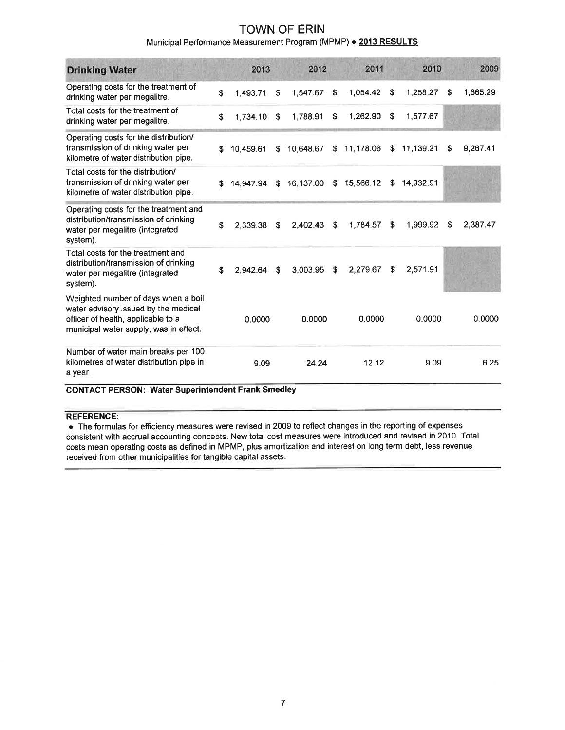## Municipal Performance Measurement Program (MPMP) . 2013 RESULTS

| <b>Drinking Water</b>                                                                                                                                       | 2013                                          |    | 2012      |     | 2011        | 2010 |           | 2009 |          |
|-------------------------------------------------------------------------------------------------------------------------------------------------------------|-----------------------------------------------|----|-----------|-----|-------------|------|-----------|------|----------|
| Operating costs for the treatment of<br>drinking water per megalitre.                                                                                       | \$<br>1,493.71                                | \$ | 1,547.67  | \$  | 1,054.42    | \$   | 1,258.27  | S.   | 1,665.29 |
| Total costs for the treatment of<br>drinking water per megalitre.                                                                                           | \$<br>1.734.10                                | \$ | 1.788.91  | \$  | 1,262.90    | \$   | 1,577.67  |      |          |
| Operating costs for the distribution/<br>transmission of drinking water per<br>kilometre of water distribution pipe.                                        | \$<br>10.459.61                               | \$ | 10,648.67 |     | \$11,178.06 | \$   | 11,139.21 | S    | 9,267.41 |
| Total costs for the distribution/<br>transmission of drinking water per<br>kilometre of water distribution pipe.                                            | \$<br>14.947.94                               | S. | 16,137.00 |     | \$15,566.12 | S.   | 14,932.91 |      |          |
| Operating costs for the treatment and<br>distribution/transmission of drinking<br>water per megalitre (integrated<br>system).                               | \$<br>2.339.38                                | \$ | 2,402.43  | -\$ | 1,784.57    | \$   | 1,999.92  | S.   | 2,387.47 |
| Total costs for the treatment and<br>distribution/transmission of drinking<br>water per megalitre (integrated<br>system).                                   | \$<br>2,942.64                                | \$ | 3,003.95  | \$  | 2,279.67    | \$   | 2.571.91  |      |          |
| Weighted number of days when a boil<br>water advisory issued by the medical<br>officer of health, applicable to a<br>municipal water supply, was in effect. | 0.0000                                        |    | 0.0000    |     | 0.0000      |      | 0.0000    |      | 0.0000   |
| Number of water main breaks per 100<br>kilometres of water distribution pipe in<br>a year.<br>0.01174.07 BFR0.011. 181.1.00                                 | 9.09<br>المطالح ومحال بالمسترك فسيماء ويستحدث |    | 24.24     |     | 12.12       |      | 9.09      |      | 6.25     |

### CONTACT PERSON: Water Superintendent Frank Smedley

## REFERENCE:

o The formulas for efficiency measures were revised in 2009 to reflect changes in the reporting of expenses consistent with accrual accounting concepts. New total cost measures were introduced and revised in 2010. Total costs mean operating costs as defined in MPMP, plus amortization and interest on long term debt, less revenue received from other municipalities for tangible capital assets.